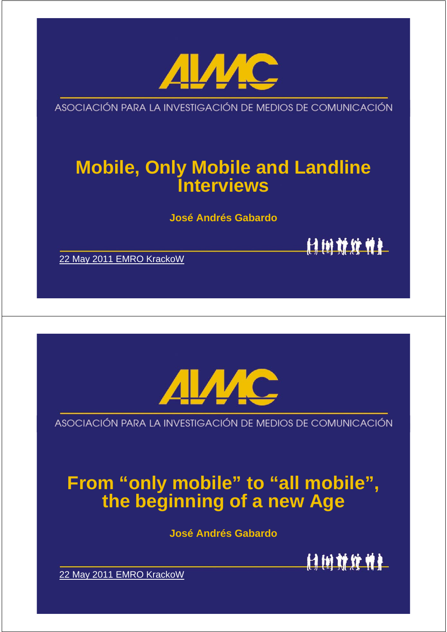

ASOCIACIÓN PARA LA INVESTIGACIÓN DE MEDIOS DE COMUNICACIÓN

# **Mobile, Only Mobile and Landline Interviews**

**José Andrés Gabardo**

付销就统帅社

22 May 2011 EMRO KrackoW



ASOCIACIÓN PARA LA INVESTIGACIÓN DE MEDIOS DE COMUNICACIÓN

# **From "only mobile" to "all mobile", the beginning of a new Age**

**José Andrés Gabardo**



22 May 2011 EMRO KrackoW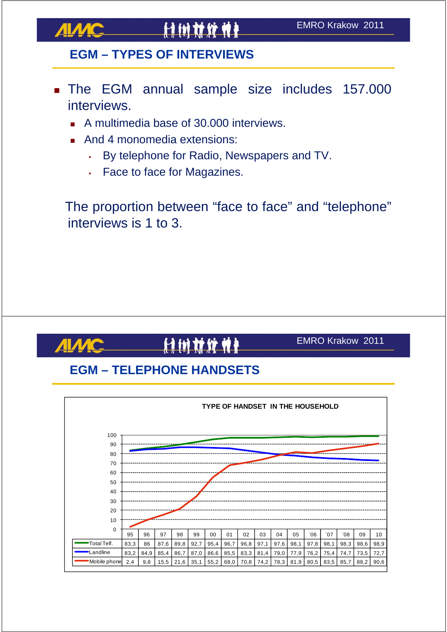

**AIMC** 

# 11 计树材发射

#### **EGM – TYPES OF INTERVIEWS**

- The EGM annual sample size includes 157.000 interviews.
	- A multimedia base of 30,000 interviews.
	- And 4 monomedia extensions:
		- By telephone for Radio, Newspapers and TV.
		- Face to face for Magazines.

The proportion between "face to face" and "telephone" interviews is 1 to 3.

# 计树材发射

#### EMRO Krakow 2011

#### **EGM – TELEPHONE HANDSETS**

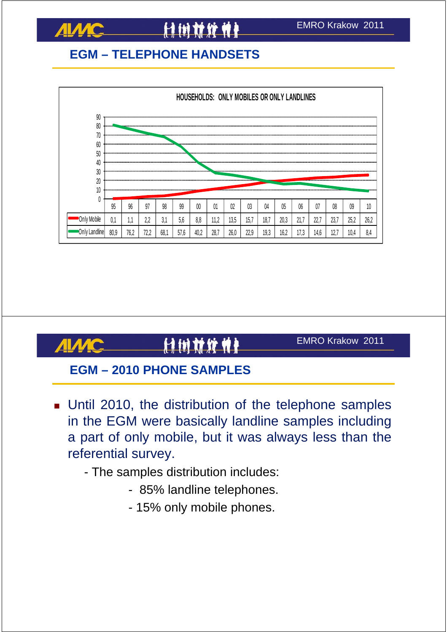

**ALAAC** 

#### **EGM – TELEPHONE HANDSETS**



# 计树材纹带

EMRO Krakow 2011

#### **EGM – 2010 PHONE SAMPLES**

- **Until 2010, the distribution of the telephone samples** in the EGM were basically landline samples including a part of only mobile, but it was always less than the referential survey.
	- The samples distribution includes:
		- 85% landline telephones.
		- 15% only mobile phones.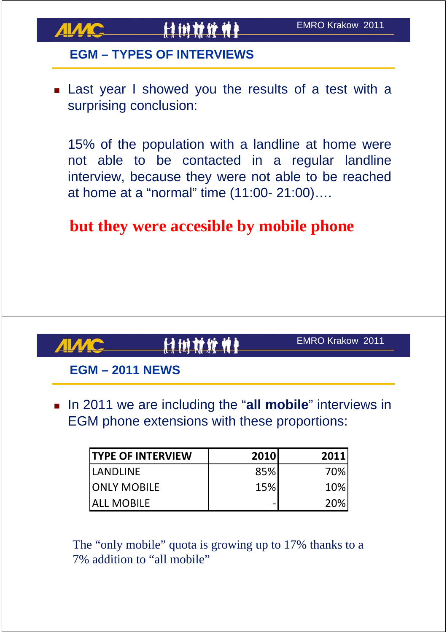

#### **EGM – TYPES OF INTERVIEWS**

**Example 2** Last year I showed you the results of a test with a surprising conclusion:

15% of the population with a landline at home were not able to be contacted in a regular landline interview, because they were not able to be reached at home at a "normal" time (11:00- 21:00)….

### **but they were accesible by mobile phone**

计树材纹件

EMRO Krakow 2011

#### **EGM – 2011 NEWS**

**IF 10** 10 11 we are including the "all mobile" interviews in EGM phone extensions with these proportions:

| <b>ITYPE OF INTERVIEW</b> | 2010 | 2011 |
|---------------------------|------|------|
| <b>ILANDLINE</b>          | 85%  | 70%  |
| <b>JONLY MOBILE</b>       | 15%  | 10%  |
| <b>JALL MOBILE</b>        |      | 20%  |

The "only mobile" quota is growing up to 17% thanks to a 7% addition to "all mobile"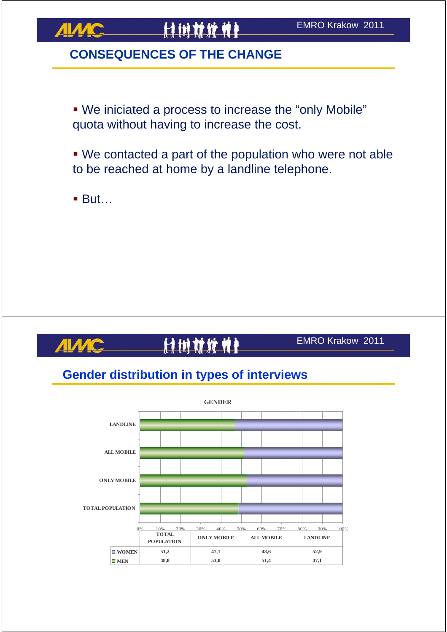

#### **CONSEQUENCES OF THE CHANGE**

 We iniciated a process to increase the "only Mobile" quota without having to increase the cost.

 We contacted a part of the population who were not able to be reached at home by a landline telephone.

■ But…

# 计树材纹件

EMRO Krakow 2011

#### **Gender distribution in types of interviews**

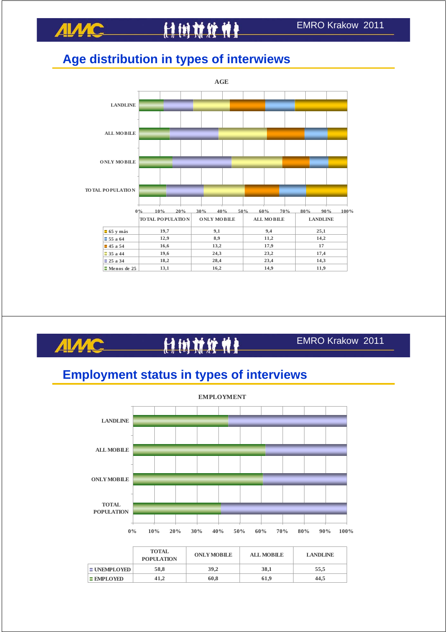### **Age distribution in types of interwiews**



EMRO Krakow 2011 付付材发养 ДІЛМ

#### **Employment status in types of interviews**



**EMPLOYED** 41,2 60,8 61,9 44,5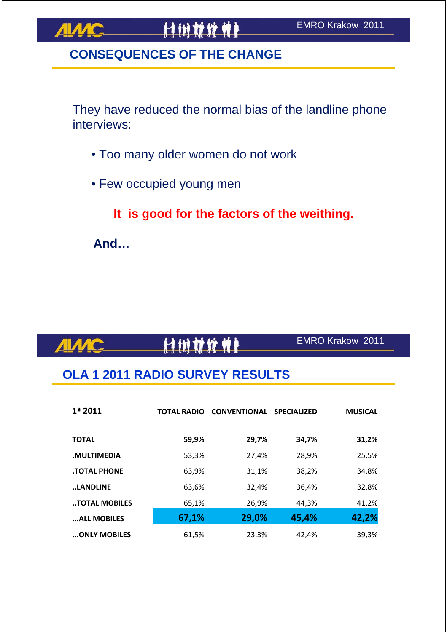#### **CONSEQUENCES OF THE CHANGE**

They have reduced the normal bias of the landline phone interviews:

- Too many older women do not work
- Few occupied young men

**It is good for the factors of the weithing.**

**And…**

**ALAAC** 

# 计树材纹件

#### EMRO Krakow 2011

#### **OLA 1 2011 RADIO SURVEY RESULTS**

| 1ª 2011             | <b>TOTAL RADIO</b> | <b>CONVENTIONAL SPECIALIZED</b> |       | <b>MUSICAL</b> |
|---------------------|--------------------|---------------------------------|-------|----------------|
| <b>TOTAL</b>        | 59,9%              | 29,7%                           | 34,7% | 31,2%          |
| .MULTIMEDIA         | 53,3%              | 27,4%                           | 28,9% | 25,5%          |
| <b>.TOTAL PHONE</b> | 63,9%              | 31,1%                           | 38,2% | 34,8%          |
| LANDLINE            | 63,6%              | 32,4%                           | 36,4% | 32,8%          |
| TOTAL MOBILES       | 65,1%              | 26,9%                           | 44.3% | 41,2%          |
| ALL MOBILES         | 67,1%              | 29,0%                           | 45,4% | 42,2%          |
| ONLY MOBILES        | 61,5%              | 23,3%                           | 42,4% | 39,3%          |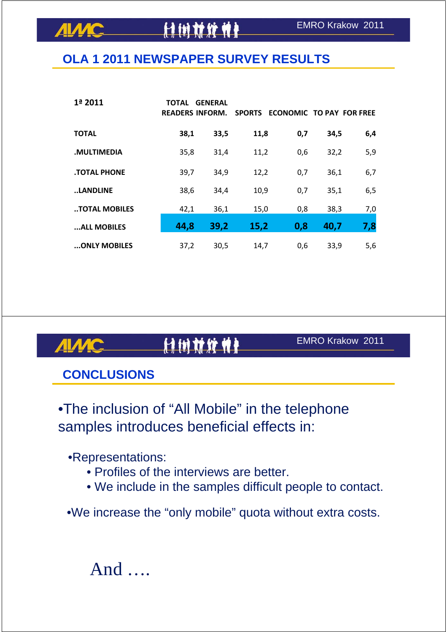#### **OLA 1 2011 NEWSPAPER SURVEY RESULTS**

**HIMMAN** 

| 1ª 2011             | TOTAL | <b>GENERAL</b><br><b>READERS INFORM.</b> | <b>SPORTS</b> | <b>ECONOMIC TO PAY FOR FREE</b> |      |     |
|---------------------|-------|------------------------------------------|---------------|---------------------------------|------|-----|
| <b>TOTAL</b>        | 38,1  | 33,5                                     | 11,8          | 0,7                             | 34,5 | 6,4 |
| .MULTIMEDIA         | 35,8  | 31,4                                     | 11,2          | 0,6                             | 32,2 | 5,9 |
| <b>.TOTAL PHONE</b> | 39,7  | 34,9                                     | 12,2          | 0,7                             | 36,1 | 6,7 |
| LANDLINE            | 38,6  | 34,4                                     | 10,9          | 0,7                             | 35,1 | 6,5 |
| TOTAL MOBILES       | 42,1  | 36,1                                     | 15,0          | 0,8                             | 38,3 | 7,0 |
| ALL MOBILES         | 44,8  | 39,2                                     | 15,2          | 0,8                             | 40,7 | 7,8 |
| ONLY MOBILES        | 37,2  | 30,5                                     | 14,7          | 0,6                             | 33,9 | 5,6 |

# 付付材算单

#### EMRO Krakow 2011

#### **CONCLUSIONS**

**AIMC** 

•The inclusion of "All Mobile" in the telephone samples introduces beneficial effects in:

•Representations:

- Profiles of the interviews are better.
- We include in the samples difficult people to contact.

•We increase the "only mobile" quota without extra costs.